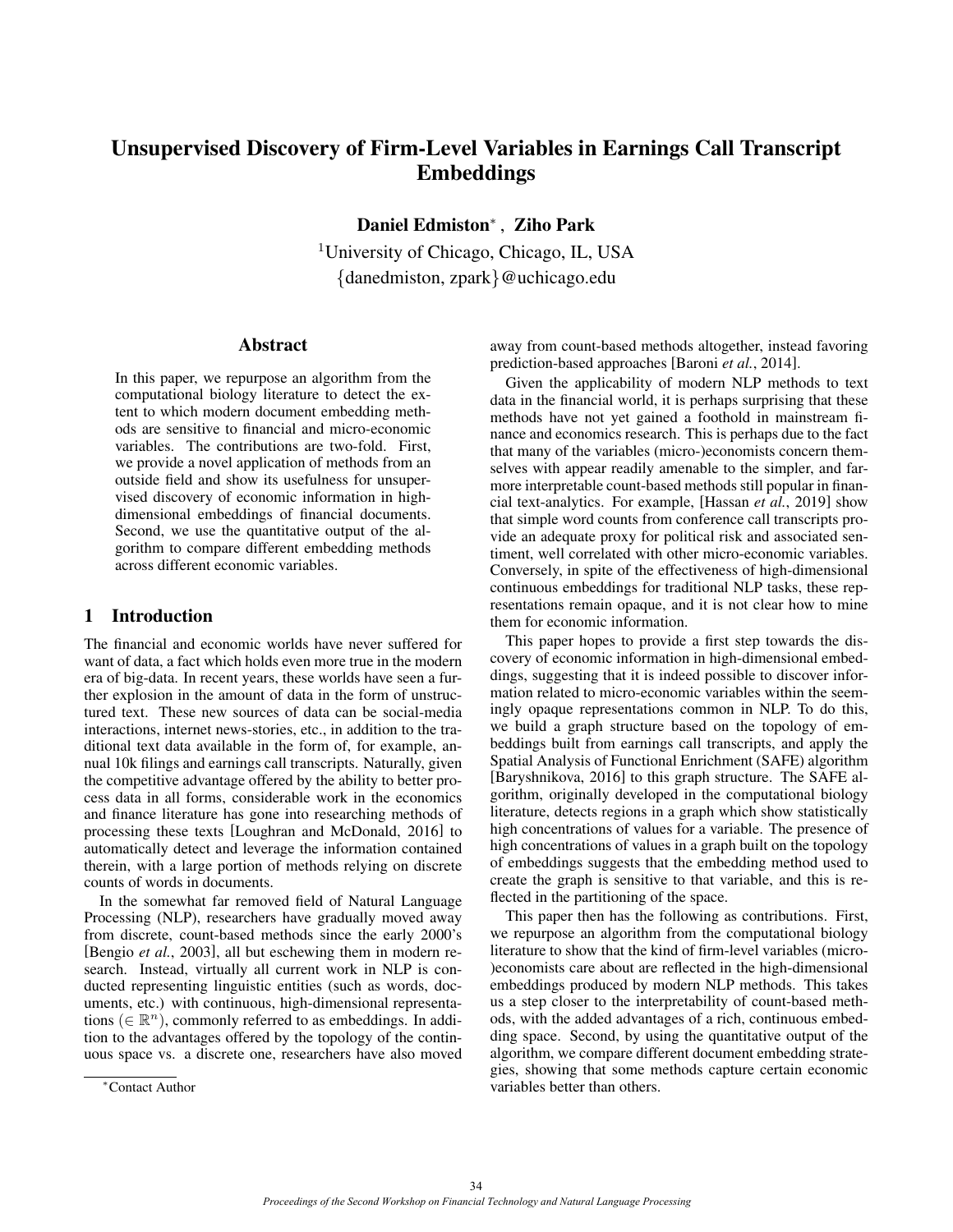# Unsupervised Discovery of Firm-Level Variables in Earnings Call Transcript Embeddings

Daniel Edmiston<sup>∗</sup> , Ziho Park

<sup>1</sup>University of Chicago, Chicago, IL, USA {danedmiston, zpark}@uchicago.edu

# Abstract

In this paper, we repurpose an algorithm from the computational biology literature to detect the extent to which modern document embedding methods are sensitive to financial and micro-economic variables. The contributions are two-fold. First, we provide a novel application of methods from an outside field and show its usefulness for unsupervised discovery of economic information in highdimensional embeddings of financial documents. Second, we use the quantitative output of the algorithm to compare different embedding methods across different economic variables.

# 1 Introduction

The financial and economic worlds have never suffered for want of data, a fact which holds even more true in the modern era of big-data. In recent years, these worlds have seen a further explosion in the amount of data in the form of unstructured text. These new sources of data can be social-media interactions, internet news-stories, etc., in addition to the traditional text data available in the form of, for example, annual 10k filings and earnings call transcripts. Naturally, given the competitive advantage offered by the ability to better process data in all forms, considerable work in the economics and finance literature has gone into researching methods of processing these texts [\[Loughran and McDonald, 2016\]](#page-5-0) to automatically detect and leverage the information contained therein, with a large portion of methods relying on discrete counts of words in documents.

In the somewhat far removed field of Natural Language Processing (NLP), researchers have gradually moved away from discrete, count-based methods since the early 2000's [\[Bengio](#page-5-1) *et al.*, 2003], all but eschewing them in modern research. Instead, virtually all current work in NLP is conducted representing linguistic entities (such as words, documents, etc.) with continuous, high-dimensional representations ( $\in \mathbb{R}^{n}$ ), commonly referred to as embeddings. In addition to the advantages offered by the topology of the continuous space vs. a discrete one, researchers have also moved away from count-based methods altogether, instead favoring prediction-based approaches [\[Baroni](#page-5-2) *et al.*, 2014].

Given the applicability of modern NLP methods to text data in the financial world, it is perhaps surprising that these methods have not yet gained a foothold in mainstream finance and economics research. This is perhaps due to the fact that many of the variables (micro-)economists concern themselves with appear readily amenable to the simpler, and farmore interpretable count-based methods still popular in financial text-analytics. For example, [\[Hassan](#page-5-3) *et al.*, 2019] show that simple word counts from conference call transcripts provide an adequate proxy for political risk and associated sentiment, well correlated with other micro-economic variables. Conversely, in spite of the effectiveness of high-dimensional continuous embeddings for traditional NLP tasks, these representations remain opaque, and it is not clear how to mine them for economic information.

This paper hopes to provide a first step towards the discovery of economic information in high-dimensional embeddings, suggesting that it is indeed possible to discover information related to micro-economic variables within the seemingly opaque representations common in NLP. To do this, we build a graph structure based on the topology of embeddings built from earnings call transcripts, and apply the Spatial Analysis of Functional Enrichment (SAFE) algorithm [\[Baryshnikova, 2016\]](#page-5-4) to this graph structure. The SAFE algorithm, originally developed in the computational biology literature, detects regions in a graph which show statistically high concentrations of values for a variable. The presence of high concentrations of values in a graph built on the topology of embeddings suggests that the embedding method used to create the graph is sensitive to that variable, and this is reflected in the partitioning of the space.

This paper then has the following as contributions. First, we repurpose an algorithm from the computational biology literature to show that the kind of firm-level variables (micro- )economists care about are reflected in the high-dimensional embeddings produced by modern NLP methods. This takes us a step closer to the interpretability of count-based methods, with the added advantages of a rich, continuous embedding space. Second, by using the quantitative output of the algorithm, we compare different document embedding strategies, showing that some methods capture certain economic variables better than others.

<sup>∗</sup>Contact Author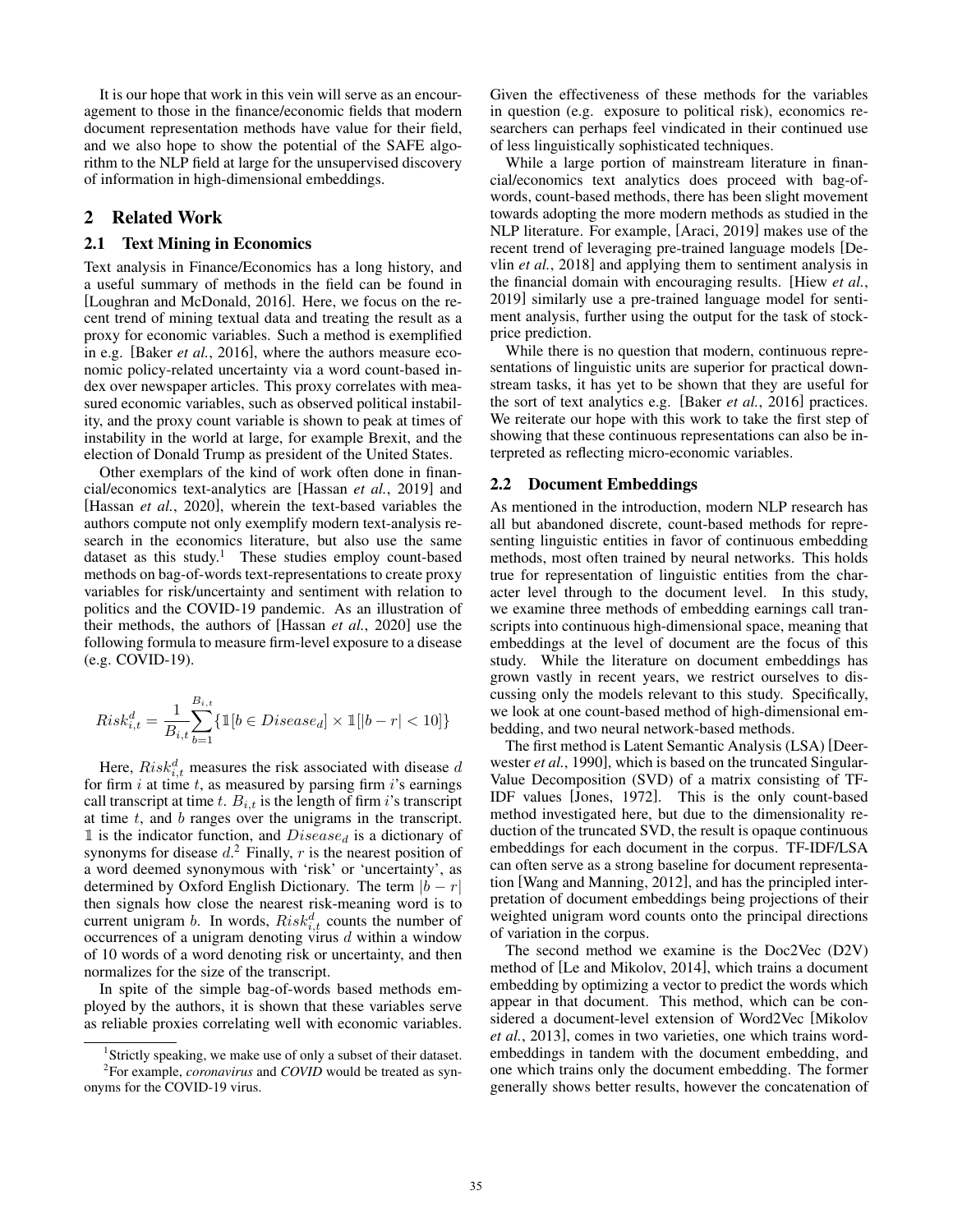It is our hope that work in this vein will serve as an encouragement to those in the finance/economic fields that modern document representation methods have value for their field, and we also hope to show the potential of the SAFE algorithm to the NLP field at large for the unsupervised discovery of information in high-dimensional embeddings.

# 2 Related Work

# 2.1 Text Mining in Economics

Text analysis in Finance/Economics has a long history, and a useful summary of methods in the field can be found in [\[Loughran and McDonald, 2016\]](#page-5-0). Here, we focus on the recent trend of mining textual data and treating the result as a proxy for economic variables. Such a method is exemplified in e.g. [Baker *et al.*[, 2016\]](#page-5-5), where the authors measure economic policy-related uncertainty via a word count-based index over newspaper articles. This proxy correlates with measured economic variables, such as observed political instability, and the proxy count variable is shown to peak at times of instability in the world at large, for example Brexit, and the election of Donald Trump as president of the United States.

Other exemplars of the kind of work often done in financial/economics text-analytics are [\[Hassan](#page-5-3) *et al.*, 2019] and [\[Hassan](#page-5-6) *et al.*, 2020], wherein the text-based variables the authors compute not only exemplify modern text-analysis research in the economics literature, but also use the same dataset as this study.<sup>[1](#page-1-0)</sup> These studies employ count-based methods on bag-of-words text-representations to create proxy variables for risk/uncertainty and sentiment with relation to politics and the COVID-19 pandemic. As an illustration of their methods, the authors of [\[Hassan](#page-5-6) *et al.*, 2020] use the following formula to measure firm-level exposure to a disease (e.g. COVID-19).

$$
Risk_{i,t}^d = \frac{1}{B_{i,t}}\!\!\sum_{b=1}^{B_{i,t}} \!\{\mathbbm{1}[b \in Disease_d] \times \mathbbm{1}[|b-r| < 10]\}
$$

Here,  $Risk_{i,t}^d$  measures the risk associated with disease d for firm  $i$  at time  $t$ , as measured by parsing firm  $i$ 's earnings call transcript at time t.  $B_{i,t}$  is the length of firm i's transcript at time  $t$ , and  $b$  ranges over the unigrams in the transcript. 1 is the indicator function, and  $Disease_d$  is a dictionary of synonyms for disease  $d<sup>2</sup>$  $d<sup>2</sup>$  $d<sup>2</sup>$  Finally, r is the nearest position of a word deemed synonymous with 'risk' or 'uncertainty', as determined by Oxford English Dictionary. The term  $|b - r|$ then signals how close the nearest risk-meaning word is to current unigram *b*. In words,  $Risk_{i,t}^d$  counts the number of occurrences of a unigram denoting virus  $d$  within a window of 10 words of a word denoting risk or uncertainty, and then normalizes for the size of the transcript.

In spite of the simple bag-of-words based methods employed by the authors, it is shown that these variables serve as reliable proxies correlating well with economic variables. Given the effectiveness of these methods for the variables in question (e.g. exposure to political risk), economics researchers can perhaps feel vindicated in their continued use of less linguistically sophisticated techniques.

While a large portion of mainstream literature in financial/economics text analytics does proceed with bag-ofwords, count-based methods, there has been slight movement towards adopting the more modern methods as studied in the NLP literature. For example, [\[Araci, 2019\]](#page-5-7) makes use of the recent trend of leveraging pre-trained language models [\[De](#page-5-8)vlin *et al.*[, 2018\]](#page-5-8) and applying them to sentiment analysis in the financial domain with encouraging results. [\[Hiew](#page-5-9) *et al.*, [2019\]](#page-5-9) similarly use a pre-trained language model for sentiment analysis, further using the output for the task of stockprice prediction.

While there is no question that modern, continuous representations of linguistic units are superior for practical downstream tasks, it has yet to be shown that they are useful for the sort of text analytics e.g. [Baker *et al.*[, 2016\]](#page-5-5) practices. We reiterate our hope with this work to take the first step of showing that these continuous representations can also be interpreted as reflecting micro-economic variables.

#### <span id="page-1-2"></span>2.2 Document Embeddings

As mentioned in the introduction, modern NLP research has all but abandoned discrete, count-based methods for representing linguistic entities in favor of continuous embedding methods, most often trained by neural networks. This holds true for representation of linguistic entities from the character level through to the document level. In this study, we examine three methods of embedding earnings call transcripts into continuous high-dimensional space, meaning that embeddings at the level of document are the focus of this study. While the literature on document embeddings has grown vastly in recent years, we restrict ourselves to discussing only the models relevant to this study. Specifically, we look at one count-based method of high-dimensional embedding, and two neural network-based methods.

The first method is Latent Semantic Analysis (LSA) [\[Deer](#page-5-10)wester *et al.*[, 1990\]](#page-5-10), which is based on the truncated Singular-Value Decomposition (SVD) of a matrix consisting of TF-IDF values [\[Jones, 1972\]](#page-5-11). This is the only count-based method investigated here, but due to the dimensionality reduction of the truncated SVD, the result is opaque continuous embeddings for each document in the corpus. TF-IDF/LSA can often serve as a strong baseline for document representation [\[Wang and Manning, 2012\]](#page-5-12), and has the principled interpretation of document embeddings being projections of their weighted unigram word counts onto the principal directions of variation in the corpus.

The second method we examine is the Doc2Vec (D2V) method of [\[Le and Mikolov, 2014\]](#page-5-13), which trains a document embedding by optimizing a vector to predict the words which appear in that document. This method, which can be considered a document-level extension of Word2Vec [\[Mikolov](#page-5-14) *et al.*[, 2013\]](#page-5-14), comes in two varieties, one which trains wordembeddings in tandem with the document embedding, and one which trains only the document embedding. The former generally shows better results, however the concatenation of

<span id="page-1-1"></span><span id="page-1-0"></span><sup>&</sup>lt;sup>1</sup>Strictly speaking, we make use of only a subset of their dataset. 2 For example, *coronavirus* and *COVID* would be treated as synonyms for the COVID-19 virus.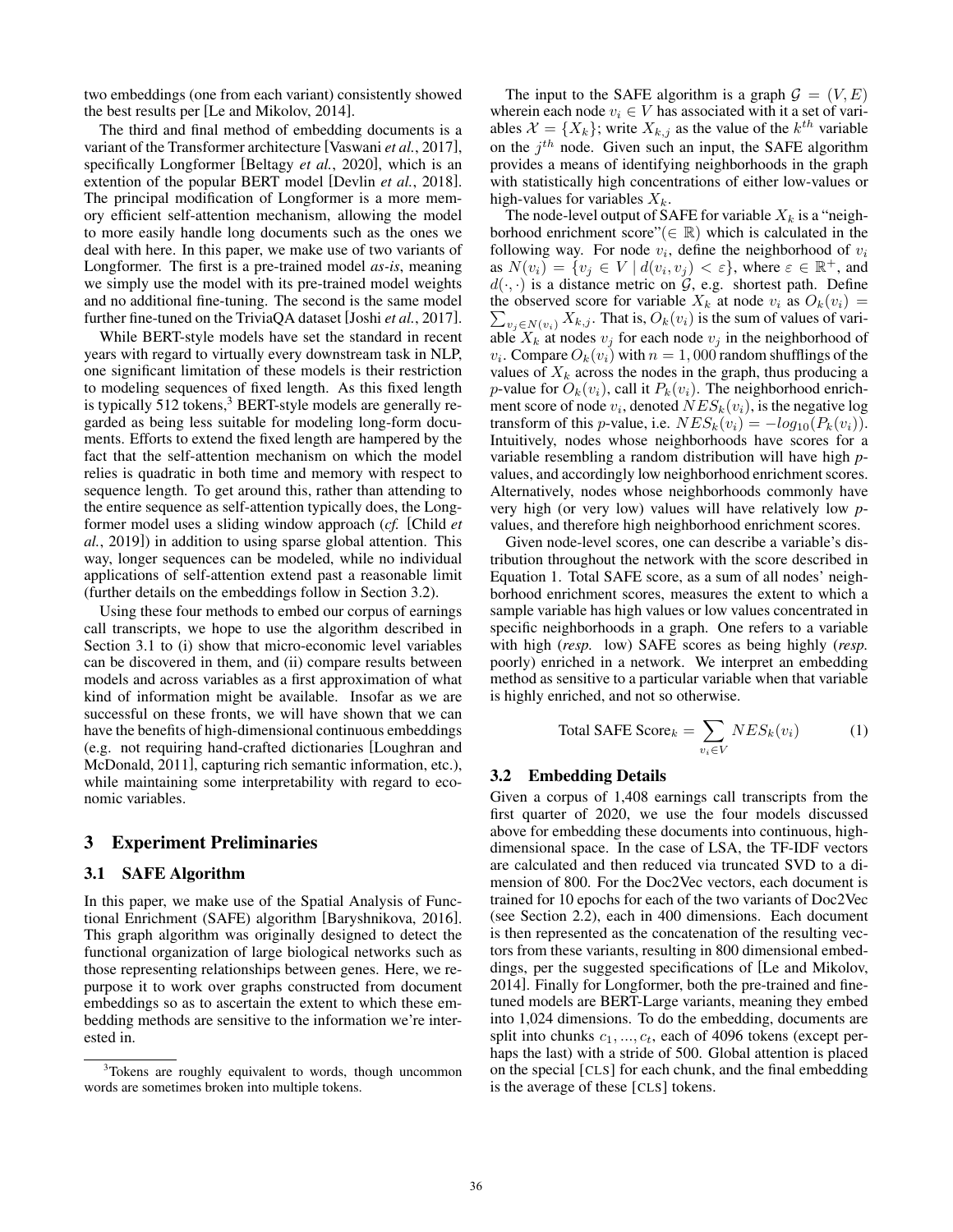two embeddings (one from each variant) consistently showed the best results per [\[Le and Mikolov, 2014\]](#page-5-13).

The third and final method of embedding documents is a variant of the Transformer architecture [\[Vaswani](#page-5-15) *et al.*, 2017], specifically Longformer [\[Beltagy](#page-5-16) *et al.*, 2020], which is an extention of the popular BERT model [\[Devlin](#page-5-8) *et al.*, 2018]. The principal modification of Longformer is a more memory efficient self-attention mechanism, allowing the model to more easily handle long documents such as the ones we deal with here. In this paper, we make use of two variants of Longformer. The first is a pre-trained model *as-is*, meaning we simply use the model with its pre-trained model weights and no additional fine-tuning. The second is the same model further fine-tuned on the TriviaQA dataset [Joshi *et al.*[, 2017\]](#page-5-17).

While BERT-style models have set the standard in recent years with regard to virtually every downstream task in NLP, one significant limitation of these models is their restriction to modeling sequences of fixed length. As this fixed length is typically  $512$  tokens,<sup>[3](#page-2-0)</sup> BERT-style models are generally regarded as being less suitable for modeling long-form documents. Efforts to extend the fixed length are hampered by the fact that the self-attention mechanism on which the model relies is quadratic in both time and memory with respect to sequence length. To get around this, rather than attending to the entire sequence as self-attention typically does, the Longformer model uses a sliding window approach (*cf.* [\[Child](#page-5-18) *et al.*[, 2019\]](#page-5-18)) in addition to using sparse global attention. This way, longer sequences can be modeled, while no individual applications of self-attention extend past a reasonable limit (further details on the embeddings follow in Section [3.2\)](#page-2-1).

Using these four methods to embed our corpus of earnings call transcripts, we hope to use the algorithm described in Section [3.1](#page-2-2) to (i) show that micro-economic level variables can be discovered in them, and (ii) compare results between models and across variables as a first approximation of what kind of information might be available. Insofar as we are successful on these fronts, we will have shown that we can have the benefits of high-dimensional continuous embeddings (e.g. not requiring hand-crafted dictionaries [\[Loughran and](#page-5-19) [McDonald, 2011\]](#page-5-19), capturing rich semantic information, etc.), while maintaining some interpretability with regard to economic variables.

# 3 Experiment Preliminaries

### <span id="page-2-2"></span>3.1 SAFE Algorithm

In this paper, we make use of the Spatial Analysis of Functional Enrichment (SAFE) algorithm [\[Baryshnikova, 2016\]](#page-5-4). This graph algorithm was originally designed to detect the functional organization of large biological networks such as those representing relationships between genes. Here, we repurpose it to work over graphs constructed from document embeddings so as to ascertain the extent to which these embedding methods are sensitive to the information we're interested in.

The input to the SAFE algorithm is a graph  $\mathcal{G} = (V, E)$ wherein each node  $v_i \in V$  has associated with it a set of variables  $\mathcal{X} = \{X_k\}$ ; write  $X_{k,j}$  as the value of the  $k^{th}$  variable on the  $j<sup>th</sup>$  node. Given such an input, the SAFE algorithm provides a means of identifying neighborhoods in the graph with statistically high concentrations of either low-values or high-values for variables  $X_k$ .

The node-level output of SAFE for variable  $X_k$  is a "neighborhood enrichment score"( $\in \mathbb{R}$ ) which is calculated in the following way. For node  $v_i$ , define the neighborhood of  $v_i$ as  $N(v_i) = \{v_j \in V \mid d(v_i, v_j) < \varepsilon\}$ , where  $\varepsilon \in \mathbb{R}^+$ , and  $d(\cdot, \cdot)$  is a distance metric on  $\mathcal{G}$ , e.g. shortest path. Define the observed score for variable  $X_k$  at node  $v_i$  as  $O_k(v_i)$  =  $\sum_{v_j \in N(v_i)} X_{k,j}$ . That is,  $O_k(v_i)$  is the sum of values of variable  $X_k$  at nodes  $v_j$  for each node  $v_j$  in the neighborhood of  $v_i$ . Compare  $O_k(v_i)$  with  $n = 1,000$  random shufflings of the values of  $X_k$  across the nodes in the graph, thus producing a p-value for  $O_k(v_i)$ , call it  $P_k(v_i)$ . The neighborhood enrichment score of node  $v_i$ , denoted  $NES_k(v_i)$ , is the negative log transform of this p-value, i.e.  $NES_k(v_i) = -log_{10}(P_k(v_i)).$ Intuitively, nodes whose neighborhoods have scores for a variable resembling a random distribution will have high *p*values, and accordingly low neighborhood enrichment scores. Alternatively, nodes whose neighborhoods commonly have very high (or very low) values will have relatively low *p*values, and therefore high neighborhood enrichment scores.

Given node-level scores, one can describe a variable's distribution throughout the network with the score described in Equation [1.](#page-2-3) Total SAFE score, as a sum of all nodes' neighborhood enrichment scores, measures the extent to which a sample variable has high values or low values concentrated in specific neighborhoods in a graph. One refers to a variable with high (*resp.* low) SAFE scores as being highly (*resp.* poorly) enriched in a network. We interpret an embedding method as sensitive to a particular variable when that variable is highly enriched, and not so otherwise.

$$
Total SARE Scorek = \sum_{v_i \in V} NES_k(v_i)
$$
 (1)

#### <span id="page-2-3"></span><span id="page-2-1"></span>3.2 Embedding Details

Given a corpus of 1,408 earnings call transcripts from the first quarter of 2020, we use the four models discussed above for embedding these documents into continuous, highdimensional space. In the case of LSA, the TF-IDF vectors are calculated and then reduced via truncated SVD to a dimension of 800. For the Doc2Vec vectors, each document is trained for 10 epochs for each of the two variants of Doc2Vec (see Section [2.2\)](#page-1-2), each in 400 dimensions. Each document is then represented as the concatenation of the resulting vectors from these variants, resulting in 800 dimensional embeddings, per the suggested specifications of [\[Le and Mikolov,](#page-5-13) [2014\]](#page-5-13). Finally for Longformer, both the pre-trained and finetuned models are BERT-Large variants, meaning they embed into 1,024 dimensions. To do the embedding, documents are split into chunks  $c_1, ..., c_t$ , each of 4096 tokens (except perhaps the last) with a stride of 500. Global attention is placed on the special [CLS] for each chunk, and the final embedding is the average of these [CLS] tokens.

<span id="page-2-0"></span><sup>&</sup>lt;sup>3</sup>Tokens are roughly equivalent to words, though uncommon words are sometimes broken into multiple tokens.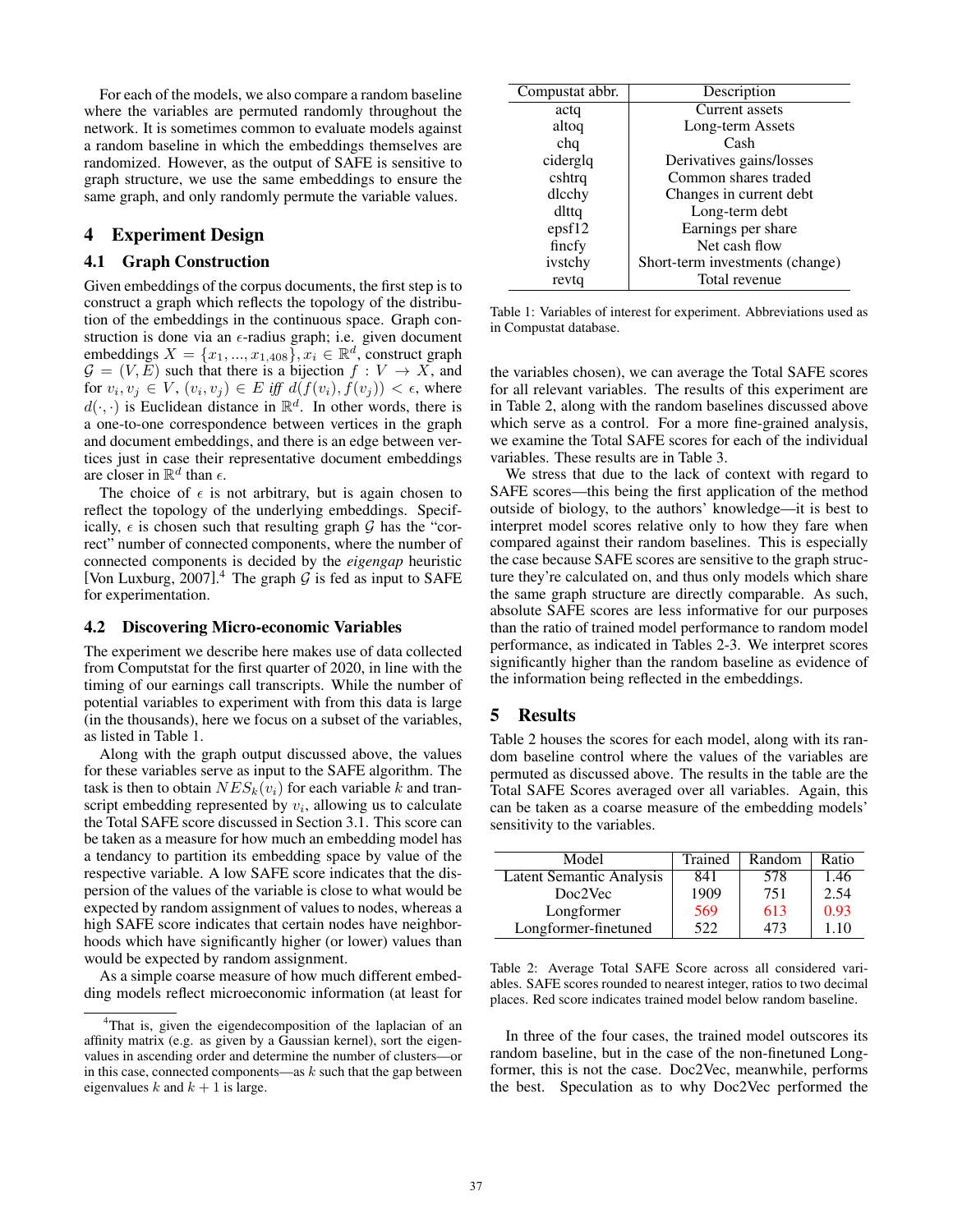For each of the models, we also compare a random baseline where the variables are permuted randomly throughout the network. It is sometimes common to evaluate models against a random baseline in which the embeddings themselves are randomized. However, as the output of SAFE is sensitive to graph structure, we use the same embeddings to ensure the same graph, and only randomly permute the variable values.

# 4 Experiment Design

# 4.1 Graph Construction

Given embeddings of the corpus documents, the first step is to construct a graph which reflects the topology of the distribution of the embeddings in the continuous space. Graph construction is done via an  $\epsilon$ -radius graph; i.e. given document embeddings  $X = \{x_1, ..., x_{1,408}\}, x_i \in \mathbb{R}^d$ , construct graph  $G = (V, E)$  such that there is a bijection  $f : V \to X$ , and for  $v_i, v_j \in V$ ,  $(v_i, v_j) \in E$  iff  $d(f(v_i), f(v_j)) < \epsilon$ , where  $d(\cdot, \cdot)$  is Euclidean distance in  $\mathbb{R}^d$ . In other words, there is a one-to-one correspondence between vertices in the graph and document embeddings, and there is an edge between vertices just in case their representative document embeddings are closer in  $\mathbb{R}^d$  than  $\epsilon$ .

The choice of  $\epsilon$  is not arbitrary, but is again chosen to reflect the topology of the underlying embeddings. Specifically,  $\epsilon$  is chosen such that resulting graph  $\mathcal G$  has the "correct" number of connected components, where the number of connected components is decided by the *eigengap* heuristic [\[Von Luxburg, 2007\]](#page-5-20).<sup>[4](#page-3-0)</sup> The graph  $G$  is fed as input to SAFE for experimentation.

#### 4.2 Discovering Micro-economic Variables

The experiment we describe here makes use of data collected from Computstat for the first quarter of 2020, in line with the timing of our earnings call transcripts. While the number of potential variables to experiment with from this data is large (in the thousands), here we focus on a subset of the variables, as listed in Table [1.](#page-3-1)

Along with the graph output discussed above, the values for these variables serve as input to the SAFE algorithm. The task is then to obtain  $NES_k(v_i)$  for each variable k and transcript embedding represented by  $v_i$ , allowing us to calculate the Total SAFE score discussed in Section [3.1.](#page-2-2) This score can be taken as a measure for how much an embedding model has a tendancy to partition its embedding space by value of the respective variable. A low SAFE score indicates that the dispersion of the values of the variable is close to what would be expected by random assignment of values to nodes, whereas a high SAFE score indicates that certain nodes have neighborhoods which have significantly higher (or lower) values than would be expected by random assignment.

As a simple coarse measure of how much different embedding models reflect microeconomic information (at least for

<span id="page-3-1"></span>

| Compustat abbr. | Description                     |
|-----------------|---------------------------------|
| actq            | Current assets                  |
| altoq           | Long-term Assets                |
| chq             | Cash                            |
| ciderglq        | Derivatives gains/losses        |
| cshtrq          | Common shares traded            |
| dlcchy          | Changes in current debt         |
| dlttq           | Long-term debt                  |
| epsf12          | Earnings per share              |
| fincfy          | Net cash flow                   |
| ivstchy         | Short-term investments (change) |
| revtq           | Total revenue                   |

Table 1: Variables of interest for experiment. Abbreviations used as in Compustat database.

the variables chosen), we can average the Total SAFE scores for all relevant variables. The results of this experiment are in Table [2,](#page-3-2) along with the random baselines discussed above which serve as a control. For a more fine-grained analysis, we examine the Total SAFE scores for each of the individual variables. These results are in Table [3.](#page-4-0)

We stress that due to the lack of context with regard to SAFE scores—this being the first application of the method outside of biology, to the authors' knowledge—it is best to interpret model scores relative only to how they fare when compared against their random baselines. This is especially the case because SAFE scores are sensitive to the graph structure they're calculated on, and thus only models which share the same graph structure are directly comparable. As such, absolute SAFE scores are less informative for our purposes than the ratio of trained model performance to random model performance, as indicated in Tables [2-](#page-3-2)[3.](#page-4-0) We interpret scores significantly higher than the random baseline as evidence of the information being reflected in the embeddings.

# 5 Results

Table [2](#page-3-2) houses the scores for each model, along with its random baseline control where the values of the variables are permuted as discussed above. The results in the table are the Total SAFE Scores averaged over all variables. Again, this can be taken as a coarse measure of the embedding models' sensitivity to the variables.

<span id="page-3-2"></span>

| Model                    | Trained | Random | Ratio |  |
|--------------------------|---------|--------|-------|--|
| Latent Semantic Analysis | 841     | 578    | 1.46  |  |
| Doc2Vec                  | 1909    | 751    | 2.54  |  |
| Longformer               | 569     | 613    | 0.93  |  |
| Longformer-finetuned     | 522     |        | 1.10  |  |

Table 2: Average Total SAFE Score across all considered variables. SAFE scores rounded to nearest integer, ratios to two decimal places. Red score indicates trained model below random baseline.

In three of the four cases, the trained model outscores its random baseline, but in the case of the non-finetuned Longformer, this is not the case. Doc2Vec, meanwhile, performs the best. Speculation as to why Doc2Vec performed the

<span id="page-3-0"></span><sup>&</sup>lt;sup>4</sup>That is, given the eigendecomposition of the laplacian of an affinity matrix (e.g. as given by a Gaussian kernel), sort the eigenvalues in ascending order and determine the number of clusters—or in this case, connected components—as  $k$  such that the gap between eigenvalues k and  $k + 1$  is large.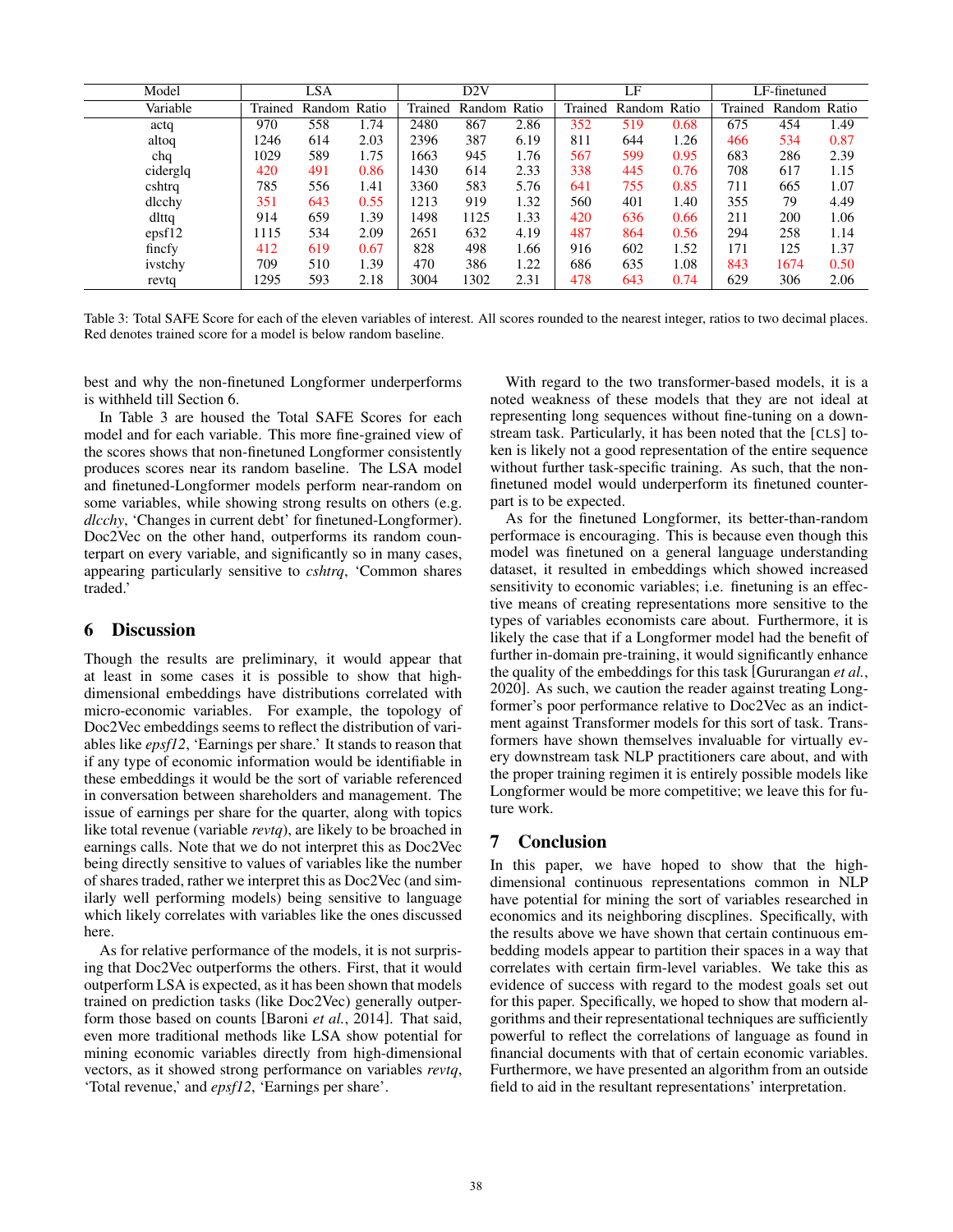<span id="page-4-0"></span>

| Model    | <b>LSA</b> |              |      | D2V     |              |      | LF      |     |              | LF-finetuned |              |      |
|----------|------------|--------------|------|---------|--------------|------|---------|-----|--------------|--------------|--------------|------|
| Variable | Trained    | Random Ratio |      | Trained | Random Ratio |      | Trained |     | Random Ratio | Trained      | Random Ratio |      |
| actq     | 970        | 558          | 1.74 | 2480    | 867          | 2.86 | 352     | 519 | 0.68         | 675          | 454          | 1.49 |
| altoq    | 246        | 614          | 2.03 | 2396    | 387          | 6.19 | 811     | 644 | 1.26         | 466          | 534          | 0.87 |
| chq      | 1029       | 589          | 1.75 | 1663    | 945          | 1.76 | 567     | 599 | 0.95         | 683          | 286          | 2.39 |
| ciderglq | 420        | 491          | 0.86 | 1430    | 614          | 2.33 | 338     | 445 | 0.76         | 708          | 617          | 1.15 |
| cshtrq   | 785        | 556          | 1.41 | 3360    | 583          | 5.76 | 641     | 755 | 0.85         | 711          | 665          | 1.07 |
| dlcchy   | 351        | 643          | 0.55 | 1213    | 919          | 1.32 | 560     | 401 | 1.40         | 355          | 79           | 4.49 |
| dlttg    | 914        | 659          | 1.39 | 1498    | 1125         | 1.33 | 420     | 636 | 0.66         | 211          | 200          | 1.06 |
| epsf12   | 115        | 534          | 2.09 | 2651    | 632          | 4.19 | 487     | 864 | 0.56         | 294          | 258          | 1.14 |
| fincfy   | 412        | 619          | 0.67 | 828     | 498          | 1.66 | 916     | 602 | 1.52         | 171          | 125          | 1.37 |
| ivstchy  | 709        | 510          | 1.39 | 470     | 386          | 1.22 | 686     | 635 | 1.08         | 843          | 1674         | 0.50 |
| revtq    | 1295       | 593          | 2.18 | 3004    | 1302         | 2.31 | 478     | 643 | 0.74         | 629          | 306          | 2.06 |

Table 3: Total SAFE Score for each of the eleven variables of interest. All scores rounded to the nearest integer, ratios to two decimal places. Red denotes trained score for a model is below random baseline.

best and why the non-finetuned Longformer underperforms is withheld till Section [6.](#page-4-1)

In Table [3](#page-4-0) are housed the Total SAFE Scores for each model and for each variable. This more fine-grained view of the scores shows that non-finetuned Longformer consistently produces scores near its random baseline. The LSA model and finetuned-Longformer models perform near-random on some variables, while showing strong results on others (e.g. *dlcchy*, 'Changes in current debt' for finetuned-Longformer). Doc2Vec on the other hand, outperforms its random counterpart on every variable, and significantly so in many cases, appearing particularly sensitive to *cshtrq*, 'Common shares traded.'

### <span id="page-4-1"></span>6 Discussion

Though the results are preliminary, it would appear that at least in some cases it is possible to show that highdimensional embeddings have distributions correlated with micro-economic variables. For example, the topology of Doc2Vec embeddings seems to reflect the distribution of variables like *epsf12*, 'Earnings per share.' It stands to reason that if any type of economic information would be identifiable in these embeddings it would be the sort of variable referenced in conversation between shareholders and management. The issue of earnings per share for the quarter, along with topics like total revenue (variable *revtq*), are likely to be broached in earnings calls. Note that we do not interpret this as Doc2Vec being directly sensitive to values of variables like the number of shares traded, rather we interpret this as Doc2Vec (and similarly well performing models) being sensitive to language which likely correlates with variables like the ones discussed here.

As for relative performance of the models, it is not surprising that Doc2Vec outperforms the others. First, that it would outperform LSA is expected, as it has been shown that models trained on prediction tasks (like Doc2Vec) generally outperform those based on counts [\[Baroni](#page-5-2) *et al.*, 2014]. That said, even more traditional methods like LSA show potential for mining economic variables directly from high-dimensional vectors, as it showed strong performance on variables *revtq*, 'Total revenue,' and *epsf12*, 'Earnings per share'.

With regard to the two transformer-based models, it is a noted weakness of these models that they are not ideal at representing long sequences without fine-tuning on a downstream task. Particularly, it has been noted that the [CLS] token is likely not a good representation of the entire sequence without further task-specific training. As such, that the nonfinetuned model would underperform its finetuned counterpart is to be expected.

As for the finetuned Longformer, its better-than-random performace is encouraging. This is because even though this model was finetuned on a general language understanding dataset, it resulted in embeddings which showed increased sensitivity to economic variables; i.e. finetuning is an effective means of creating representations more sensitive to the types of variables economists care about. Furthermore, it is likely the case that if a Longformer model had the benefit of further in-domain pre-training, it would significantly enhance the quality of the embeddings for this task [\[Gururangan](#page-5-21) *et al.*, [2020\]](#page-5-21). As such, we caution the reader against treating Longformer's poor performance relative to Doc2Vec as an indictment against Transformer models for this sort of task. Transformers have shown themselves invaluable for virtually every downstream task NLP practitioners care about, and with the proper training regimen it is entirely possible models like Longformer would be more competitive; we leave this for future work.

# 7 Conclusion

In this paper, we have hoped to show that the highdimensional continuous representations common in NLP have potential for mining the sort of variables researched in economics and its neighboring discplines. Specifically, with the results above we have shown that certain continuous embedding models appear to partition their spaces in a way that correlates with certain firm-level variables. We take this as evidence of success with regard to the modest goals set out for this paper. Specifically, we hoped to show that modern algorithms and their representational techniques are sufficiently powerful to reflect the correlations of language as found in financial documents with that of certain economic variables. Furthermore, we have presented an algorithm from an outside field to aid in the resultant representations' interpretation.